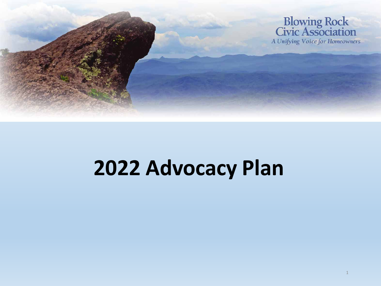

# **2022 Advocacy Plan**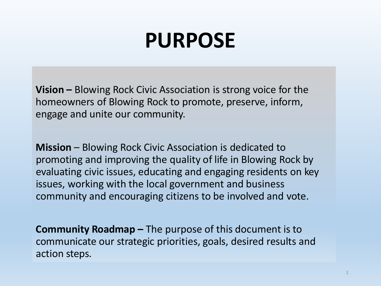# **PURPOSE**

**Vision –** Blowing Rock Civic Association is strong voice for the homeowners of Blowing Rock to promote, preserve, inform, engage and unite our community.

**Mission** – Blowing Rock Civic Association is dedicated to promoting and improving the quality of life in Blowing Rock by evaluating civic issues, educating and engaging residents on key issues, working with the local government and business community and encouraging citizens to be involved and vote.

**Community Roadmap –** The purpose of this document is to communicate our strategic priorities, goals, desired results and action steps.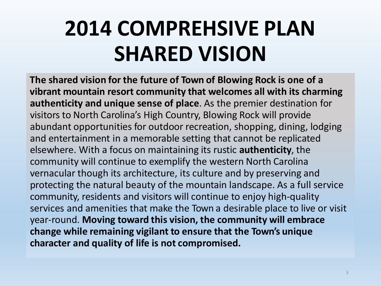# **2014 COMPREHSIVE PLAN SHARED VISION**

**The shared vision for the future of Town of Blowing Rock is one of a vibrant mountain resort community that welcomes all with its charming authenticity and unique sense of place**. As the premier destination for visitors to North Carolina's High Country, Blowing Rock will provide abundant opportunities for outdoor recreation, shopping, dining, lodging and entertainment in a memorable setting that cannot be replicated elsewhere. With a focus on maintaining its rustic **authenticity**, the community will continue to exemplify the western North Carolina vernacular though its architecture, its culture and by preserving and protecting the natural beauty of the mountain landscape. As a full service community, residents and visitors will continue to enjoy high-quality services and amenities that make the Town a desirable place to live or visit year-round. **Moving toward this vision, the community will embrace change while remaining vigilant to ensure that the Town's unique character and quality of life is not compromised.**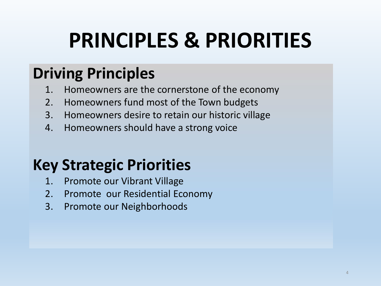# **PRINCIPLES & PRIORITIES**

## **Driving Principles**

- 1. Homeowners are the cornerstone of the economy 1. Homeowners are the cornerstone of the economy
- 2. Homeowners fund most of the Town budgets 2. Homeowners fund most of the Town budgets
- 3. Homeowners desire to retain our historic village 3. Homeowners desire to retain our historic village
- 4. Homeowners should have a strong voice 4. Homeowners should have a strong voice

## **Key Strategic Priorities**

- **Key Strategic Priorities** 1. Promote our Vibrant Village
	- 2. Promote our Residential Economy
	- 3. Promote our Neighborhoods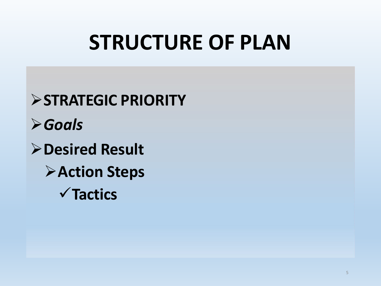# **STRUCTURE OF PLAN**

**STRATEGIC PRIORITY** *Goals* **Desired Result Action Steps Tactics**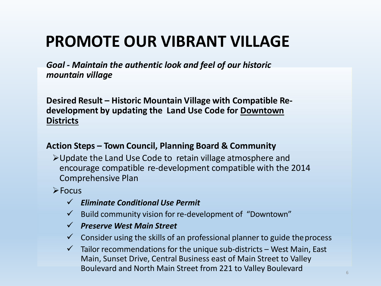*Goal - Maintain the authentic look and feel of our historic mountain village*

**Desired Result – Historic Mountain Village with Compatible Redevelopment by updating the Land Use Code for Downtown Districts**

### **Action Steps – Town Council, Planning Board & Community**

Update the Land Use Code to retain village atmosphere and encourage compatible re-development compatible with the 2014 Comprehensive Plan

 $\triangleright$  Focus

- *Eliminate Conditional Use Permit*
- $\checkmark$  Build community vision for re-development of "Downtown"
- *Preserve West Main Street*
- $\checkmark$  Consider using the skills of an professional planner to guide the process
- $\checkmark$  Tailor recommendations for the unique sub-districts West Main, East Main, Sunset Drive, Central Business east of Main Street to Valley Boulevard and North Main Street from 221 to Valley Boulevard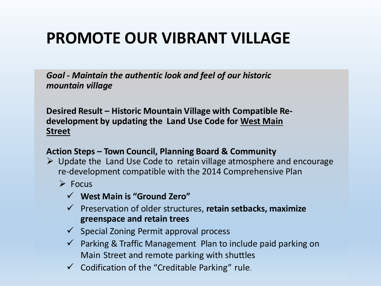*Goal - Maintain the authentic look and feel of our historic mountain village*

**Desired Result – Historic Mountain Village with Compatible Redevelopment by updating the Land Use Code for West Main Street**

### **Action Steps – Town Council, Planning Board & Community**

- $\triangleright$  Update the Land Use Code to retain village atmosphere and encourage re-development compatible with the 2014 Comprehensive Plan
	- $\triangleright$  Focus
		- **West Main is "Ground Zero"**
		- Preservation of older structures, **retain setbacks, maximize greenspace and retain trees**
		- $\checkmark$  Special Zoning Permit approval process
		- $\checkmark$  Parking & Traffic Management Plan to include paid parking on Main Street and remote parking with shuttles
		- $\checkmark$  Codification of the "Creditable Parking" rule.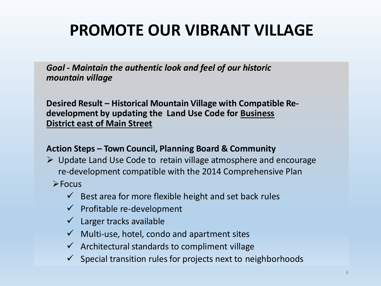*Goal - Maintain the authentic look and feel of our historic mountain village*

**Desired Result – Historical Mountain Village with Compatible Redevelopment by updating the Land Use Code for Business District east of Main Street** 

### **Action Steps – Town Council, Planning Board & Community**

 $\triangleright$  Update Land Use Code to retain village atmosphere and encourage re-development compatible with the 2014 Comprehensive Plan

 $\triangleright$  Focus

- $\checkmark$  Best area for more flexible height and set back rules
- $\checkmark$  Profitable re-development
- $\checkmark$  Larger tracks available
- $\checkmark$  Multi-use, hotel, condo and apartment sites
- $\checkmark$  Architectural standards to compliment village
- $\checkmark$  Special transition rules for projects next to neighborhoods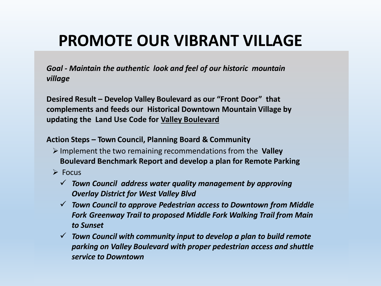*Goal - Maintain the authentic look and feel of our historic mountain village*

**Desired Result – Develop Valley Boulevard as our "Front Door" that complements and feeds our Historical Downtown Mountain Village by updating the Land Use Code for Valley Boulevard**

#### **Action Steps – Town Council, Planning Board & Community**

- Implement the two remaining recommendations from the **Valley Boulevard Benchmark Report and develop a plan for Remote Parking**
- $\triangleright$  Focus
	- *Town Council address water quality management by approving Overlay District for West Valley Blvd*
	- *Town Council to approve Pedestrian access to Downtown from Middle Fork Greenway Trail to proposed Middle Fork Walking Trail from Main to Sunset*
	- *Town Council with community input to develop a plan to build remote parking on Valley Boulevard with proper pedestrian access and shuttle service to Downtown*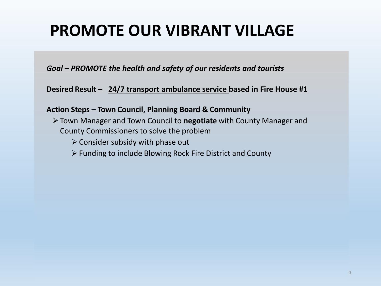*Goal – PROMOTE the health and safety of our residents and tourists*

**Desired Result – 24/7 transport ambulance service based in Fire House #1** 

**Action Steps – Town Council, Planning Board & Community**

- Town Manager and Town Council to **negotiate** with County Manager and County Commissioners to solve the problem
	- $\triangleright$  Consider subsidy with phase out
	- Funding to include Blowing Rock Fire District and County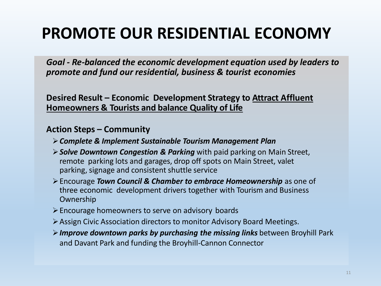## **PROMOTE OUR RESIDENTIAL ECONOMY**

*Goal - Re-balanced the economic development equation used by leaders to promote and fund our residential, business & tourist economies*

**Desired Result – Economic Development Strategy to Attract Affluent Homeowners & Tourists and balance Quality of Life**

### **Action Steps – Community**

- *Complete & Implement Sustainable Tourism Management Plan*
- *Solve Downtown Congestion & Parking* with paid parking on Main Street, remote parking lots and garages, drop off spots on Main Street, valet parking, signage and consistent shuttle service
- Encourage *Town Council & Chamber to embrace Homeownership* as one of three economic development drivers together with Tourism and Business Ownership
- $\triangleright$  Encourage homeowners to serve on advisory boards
- Assign Civic Association directors to monitor Advisory Board Meetings.
- *Improve downtown parks by purchasing the missing links* between Broyhill Park and Davant Park and funding the Broyhill-Cannon Connector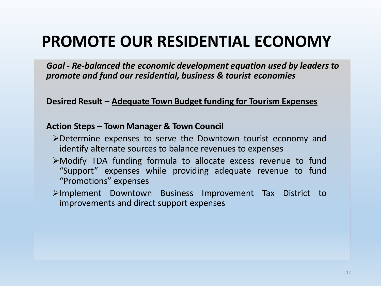### **PROMOTE OUR RESIDENTIAL ECONOMY**

*Goal - Re-balanced the economic development equation used by leaders to promote and fund our residential, business & tourist economies*

**Desired Result – Adequate Town Budget funding for Tourism Expenses**

### **Action Steps – Town Manager & Town Council**

- Determine expenses to serve the Downtown tourist economy and identify alternate sources to balance revenues to expenses
- Modify TDA funding formula to allocate excess revenue to fund "Support" expenses while providing adequate revenue to fund "Promotions" expenses
- Implement Downtown Business Improvement Tax District to improvements and direct support expenses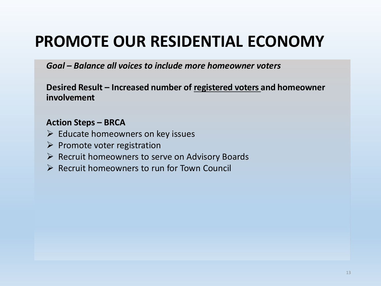### **PROMOTE OUR RESIDENTIAL ECONOMY**

*Goal – Balance all voices to include more homeowner voters*

**Desired Result – Increased number of registered voters and homeowner involvement** 

### **Action Steps – BRCA**

- $\triangleright$  Educate homeowners on key issues
- $\triangleright$  Promote voter registration
- $\triangleright$  Recruit homeowners to serve on Advisory Boards
- $\triangleright$  Recruit homeowners to run for Town Council